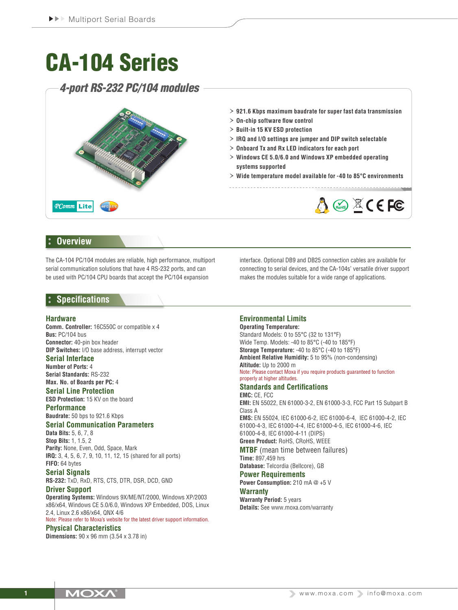# CA-104 Series

*4-port RS-232 PC/104 modules*



## **Overview**

The CA-104 PC/104 modules are reliable, high performance, multiport serial communication solutions that have 4 RS-232 ports, and can be used with PC/104 CPU boards that accept the PC/104 expansion

interface. Optional DB9 and DB25 connection cables are available for connecting to serial devices, and the CA-104s' versatile driver support makes the modules suitable for a wide range of applications.

## **Specifications**

#### **Hardware**

**Comm. Controller:** 16C550C or compatible x 4 **Bus:** PC/104 bus **Connector:** 40-pin box header **DIP Switches:** I/O base address, interrupt vector

#### **Serial Interface**

**Number of Ports:** 4 **Serial Standards:** RS-232

## **Max. No. of Boards per PC:** 4

**Serial Line Protection ESD Protection:** 15 KV on the board

**Performance Baudrate:** 50 bps to 921.6 Kbps

### **Serial Communication Parameters**

**Data Bits:** 5, 6, 7, 8 **Stop Bits:** 1, 1.5, 2 **Parity:** None, Even, Odd, Space, Mark **IRQ:** 3, 4, 5, 6, 7, 9, 10, 11, 12, 15 (shared for all ports) **FIFO:** 64 bytes

#### **Serial Signals**

**RS-232:** TxD, RxD, RTS, CTS, DTR, DSR, DCD, GND

#### **Driver Support**

**Operating Systems:** Windows 9X/ME/NT/2000, Windows XP/2003 x86/x64, Windows CE 5.0/6.0, Windows XP Embedded, DOS, Linux 2.4, Linux 2.6 x86/x64, QNX 4/6

Note: Please refer to Moxa's website for the latest driver support information. **Physical Characteristics**

**Dimensions:** 90 x 96 mm (3.54 x 3.78 in)

## **Environmental Limits**

**Operating Temperature:** Standard Models: 0 to 55°C (32 to 131°F) Wide Temp. Models: -40 to 85°C (-40 to 185°F) **Storage Temperature:** -40 to 85°C (-40 to 185°F) **Ambient Relative Humidity:** 5 to 95% (non-condensing) **Altitude:** Up to 2000 m Note: Please contact Moxa if you require products guaranteed to function

#### properly at higher altitudes. **Standards and Certifications**

**EMC:** CE, FCC **EMI:** EN 55022, EN 61000-3-2, EN 61000-3-3, FCC Part 15 Subpart B Class A **EMS:** EN 55024, IEC 61000-6-2, IEC 61000-6-4, IEC 61000-4-2, IEC 61000-4-3, IEC 61000-4-4, IEC 61000-4-5, IEC 61000-4-6, IEC 61000-4-8, IEC 61000-4-11 (DIPS) **Green Product:** RoHS, CRoHS, WEEE **MTBF** (mean time between failures) **Time:** 897,459 hrs **Database:** Telcordia (Bellcore), GB **Power Requirements**

## **Power Consumption:** 210 mA @ +5 V **Warranty**

**Warranty Period:** 5 years **Details:** See www.moxa.com/warranty